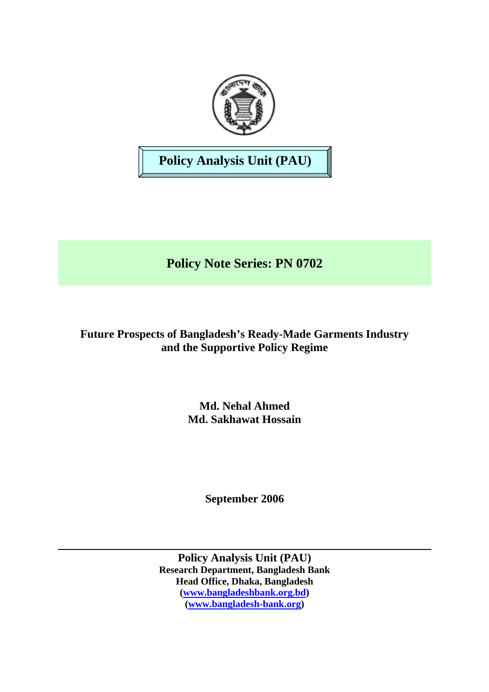

**Policy Analysis Unit (PAU)** 

**Policy Note Series: PN 0702** 

**Future Prospects of Bangladesh's Ready-Made Garments Industry and the Supportive Policy Regime** 

> **Md. Nehal Ahmed Md. Sakhawat Hossain**

> > **September 2006**

**Policy Analysis Unit (PAU) Research Department, Bangladesh Bank Head Office, Dhaka, Bangladesh ([www.bangladeshbank.org.bd](http://www.bangladeshbank.org.bd/)) [\(www.bangladesh-bank.org](http://www.bangladesh-bank.org/))**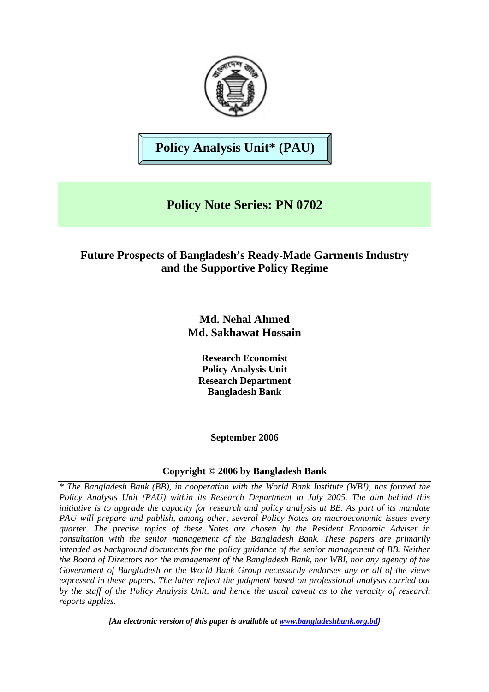

**Policy Analysis Unit\* (PAU)**

# **Policy Note Series: PN 0702**

# **Future Prospects of Bangladesh's Ready-Made Garments Industry and the Supportive Policy Regime**

**Md. Nehal Ahmed Md. Sakhawat Hossain** 

**Research Economist Policy Analysis Unit Research Department Bangladesh Bank** 

**September 2006** 

## **Copyright © 2006 by Bangladesh Bank**

*\* The Bangladesh Bank (BB), in cooperation with the World Bank Institute (WBI), has formed the Policy Analysis Unit (PAU) within its Research Department in July 2005. The aim behind this initiative is to upgrade the capacity for research and policy analysis at BB. As part of its mandate PAU will prepare and publish, among other, several Policy Notes on macroeconomic issues every quarter. The precise topics of these Notes are chosen by the Resident Economic Adviser in consultation with the senior management of the Bangladesh Bank. These papers are primarily intended as background documents for the policy guidance of the senior management of BB. Neither the Board of Directors nor the management of the Bangladesh Bank, nor WBI, nor any agency of the Government of Bangladesh or the World Bank Group necessarily endorses any or all of the views expressed in these papers. The latter reflect the judgment based on professional analysis carried out by the staff of the Policy Analysis Unit, and hence the usual caveat as to the veracity of research reports applies.* 

*[An electronic version of this paper is available at [www.bangladeshbank.org.bd\]](http://www.bangladeshbank.org.bd/research/pau.html)*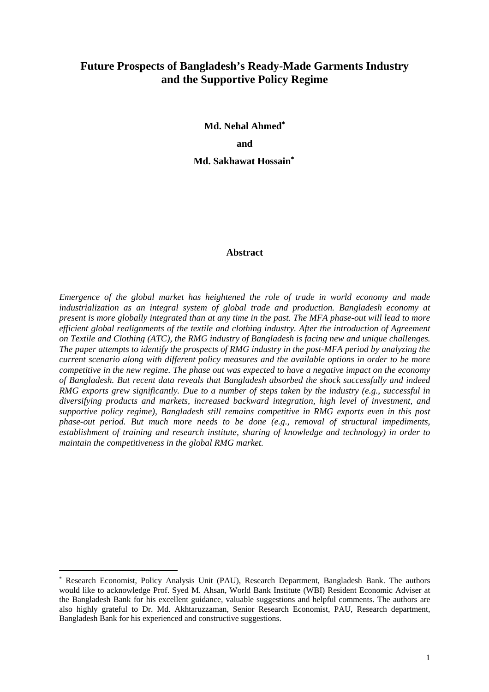# **Future Prospects of Bangladesh's Ready-Made Garments Industry and the Supportive Policy Regime**

**Md. Nehal Ahmed**[∗](#page-2-0)  **and Md. Sakhawat Hossain**[∗](#page-3-0)

#### **Abstract**

*Emergence of the global market has heightened the role of trade in world economy and made industrialization as an integral system of global trade and production. Bangladesh economy at present is more globally integrated than at any time in the past. The MFA phase-out will lead to more efficient global realignments of the textile and clothing industry. After the introduction of Agreement on Textile and Clothing (ATC), the RMG industry of Bangladesh is facing new and unique challenges. The paper attempts to identify the prospects of RMG industry in the post-MFA period by analyzing the current scenario along with different policy measures and the available options in order to be more competitive in the new regime. The phase out was expected to have a negative impact on the economy of Bangladesh. But recent data reveals that Bangladesh absorbed the shock successfully and indeed RMG exports grew significantly. Due to a number of steps taken by the industry (e.g., successful in diversifying products and markets, increased backward integration, high level of investment, and supportive policy regime), Bangladesh still remains competitive in RMG exports even in this post phase-out period. But much more needs to be done (e.g., removal of structural impediments, establishment of training and research institute, sharing of knowledge and technology) in order to maintain the competitiveness in the global RMG market.* 

 $\overline{a}$ 

<span id="page-2-0"></span>Research Economist, Policy Analysis Unit (PAU), Research Department, Bangladesh Bank. The authors would like to acknowledge Prof. Syed M. Ahsan, World Bank Institute (WBI) Resident Economic Adviser at the Bangladesh Bank for his excellent guidance, valuable suggestions and helpful comments. The authors are also highly grateful to Dr. Md. Akhtaruzzaman, Senior Research Economist, PAU, Research department, Bangladesh Bank for his experienced and constructive suggestions.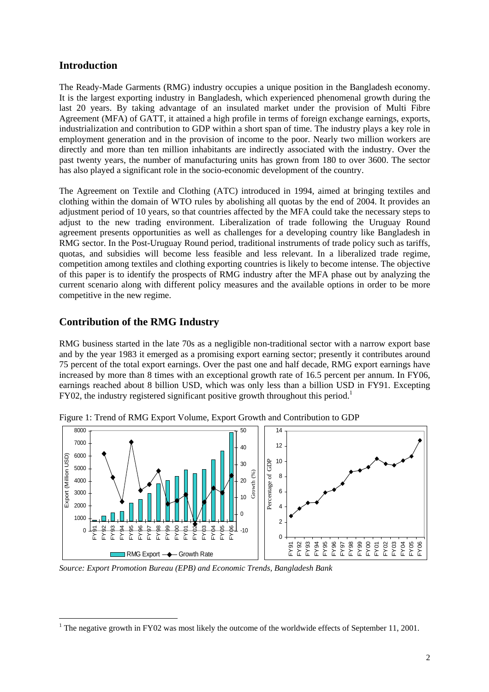# **Introduction**

The Ready-Made Garments (RMG) industry occupies a unique position in the Bangladesh economy. It is the largest exporting industry in Bangladesh, which experienced phenomenal growth during the last 20 years. By taking advantage of an insulated market under the provision of Multi Fibre Agreement (MFA) of GATT, it attained a high profile in terms of foreign exchange earnings, exports, industrialization and contribution to GDP within a short span of time. The industry plays a key role in employment generation and in the provision of income to the poor. Nearly two million workers are directly and more than ten million inhabitants are indirectly associated with the industry. Over the past twenty years, the number of manufacturing units has grown from 180 to over 3600. The sector has also played a significant role in the socio-economic development of the country.

The Agreement on Textile and Clothing (ATC) introduced in 1994, aimed at bringing textiles and clothing within the domain of WTO rules by abolishing all quotas by the end of 2004. It provides an adjustment period of 10 years, so that countries affected by the MFA could take the necessary steps to adjust to the new trading environment. Liberalization of trade following the Uruguay Round agreement presents opportunities as well as challenges for a developing country like Bangladesh in RMG sector. In the Post-Uruguay Round period, traditional instruments of trade policy such as tariffs, quotas, and subsidies will become less feasible and less relevant. In a liberalized trade regime, competition among textiles and clothing exporting countries is likely to become intense. The objective of this paper is to identify the prospects of RMG industry after the MFA phase out by analyzing the current scenario along with different policy measures and the available options in order to be more competitive in the new regime.

## **Contribution of the RMG Industry**

RMG business started in the late 70s as a negligible non-traditional sector with a narrow export base and by the year 1983 it emerged as a promising export earning sector; presently it contributes around 75 percent of the total export earnings. Over the past one and half decade, RMG export earnings have increased by more than 8 times with an exceptional growth rate of 16.5 percent per annum. In FY06, earnings reached about 8 billion USD, which was only less than a billion USD in FY91. Excepting  $FY02$ , the industry registered significant positive growth throughout this period.<sup>[1](#page-3-0)</sup>



Figure 1: Trend of RMG Export Volume, Export Growth and Contribution to GDP

*Source: Export Promotion Bureau (EPB) and Economic Trends, Bangladesh Bank* 

<span id="page-3-0"></span> $\overline{a}$ <sup>1</sup> The negative growth in FY02 was most likely the outcome of the worldwide effects of September 11, 2001.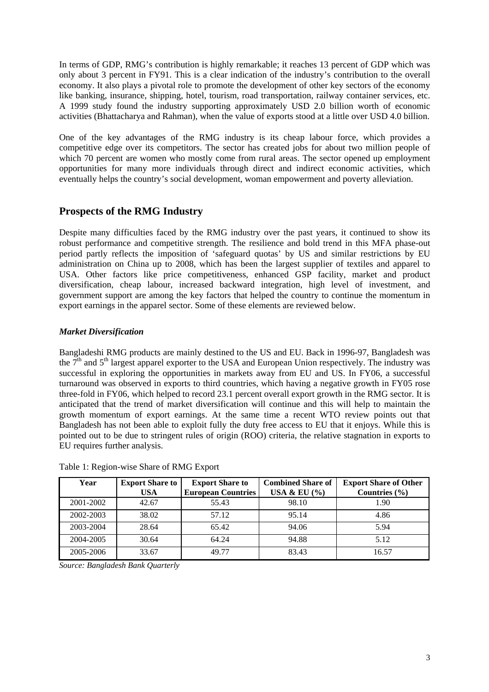In terms of GDP, RMG's contribution is highly remarkable; it reaches 13 percent of GDP which was only about 3 percent in FY91. This is a clear indication of the industry's contribution to the overall economy. It also plays a pivotal role to promote the development of other key sectors of the economy like banking, insurance, shipping, hotel, tourism, road transportation, railway container services, etc. A 1999 study found the industry supporting approximately USD 2.0 billion worth of economic activities (Bhattacharya and Rahman), when the value of exports stood at a little over USD 4.0 billion.

One of the key advantages of the RMG industry is its cheap labour force, which provides a competitive edge over its competitors. The sector has created jobs for about two million people of which 70 percent are women who mostly come from rural areas. The sector opened up employment opportunities for many more individuals through direct and indirect economic activities, which eventually helps the country's social development, woman empowerment and poverty alleviation.

# **Prospects of the RMG Industry**

Despite many difficulties faced by the RMG industry over the past years, it continued to show its robust performance and competitive strength. The resilience and bold trend in this MFA phase-out period partly reflects the imposition of 'safeguard quotas' by US and similar restrictions by EU administration on China up to 2008, which has been the largest supplier of textiles and apparel to USA. Other factors like price competitiveness, enhanced GSP facility, market and product diversification, cheap labour, increased backward integration, high level of investment, and government support are among the key factors that helped the country to continue the momentum in export earnings in the apparel sector. Some of these elements are reviewed below.

#### *Market Diversification*

Bangladeshi RMG products are mainly destined to the US and EU. Back in 1996-97, Bangladesh was the  $7<sup>th</sup>$  and  $5<sup>th</sup>$  largest apparel exporter to the USA and European Union respectively. The industry was successful in exploring the opportunities in markets away from EU and US. In FY06, a successful turnaround was observed in exports to third countries, which having a negative growth in FY05 rose three-fold in FY06, which helped to record 23.1 percent overall export growth in the RMG sector. It is anticipated that the trend of market diversification will continue and this will help to maintain the growth momentum of export earnings. At the same time a recent WTO review points out that Bangladesh has not been able to exploit fully the duty free access to EU that it enjoys. While this is pointed out to be due to stringent rules of origin (ROO) criteria, the relative stagnation in exports to EU requires further analysis.

| Year      | <b>Export Share to</b> | <b>Export Share to</b>    | <b>Combined Share of</b> | <b>Export Share of Other</b> |  |
|-----------|------------------------|---------------------------|--------------------------|------------------------------|--|
|           | <b>USA</b>             | <b>European Countries</b> | USA & EU $(\%)$          | Countries $(\% )$            |  |
| 2001-2002 | 42.67                  | 55.43                     | 98.10                    | 1.90                         |  |
| 2002-2003 | 38.02                  | 57.12                     | 95.14                    | 4.86                         |  |
| 2003-2004 | 28.64                  | 65.42                     | 94.06                    | 5.94                         |  |
| 2004-2005 | 30.64                  | 64.24                     | 94.88                    | 5.12                         |  |
| 2005-2006 | 33.67                  | 4977                      | 83.43                    | 16.57                        |  |

Table 1: Region-wise Share of RMG Export

*Source: Bangladesh Bank Quarterly*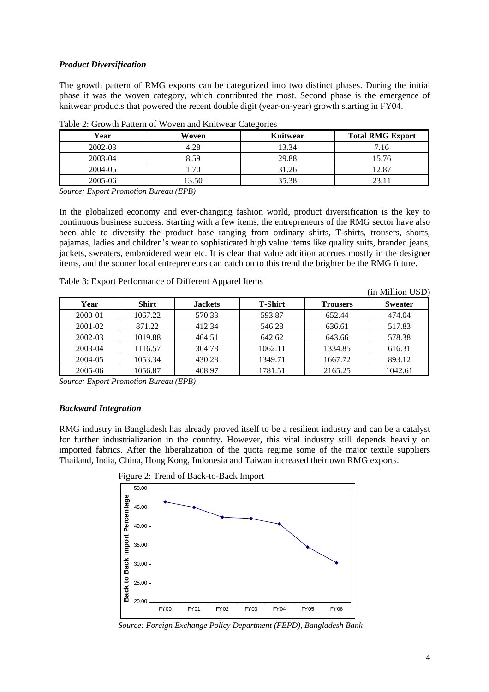#### *Product Diversification*

The growth pattern of RMG exports can be categorized into two distinct phases. During the initial phase it was the woven category, which contributed the most. Second phase is the emergence of knitwear products that powered the recent double digit (year-on-year) growth starting in FY04.

| $\tilde{\phantom{a}}$ |       |          |                         |  |  |  |
|-----------------------|-------|----------|-------------------------|--|--|--|
| Year                  | Woven | Knitwear | <b>Total RMG Export</b> |  |  |  |
| 2002-03               | 4.28  | 13.34    | 7.16                    |  |  |  |
| 2003-04               | 8.59  | 29.88    | 15.76                   |  |  |  |
| 2004-05               | 1.70  | 31.26    | 12.87                   |  |  |  |
| 2005-06               | 13.50 | 35.38    | 23.11                   |  |  |  |

Table 2: Growth Pattern of Woven and Knitwear Categories

*Source: Export Promotion Bureau (EPB)*

In the globalized economy and ever-changing fashion world, product diversification is the key to continuous business success. Starting with a few items, the entrepreneurs of the RMG sector have also been able to diversify the product base ranging from ordinary shirts, T-shirts, trousers, shorts, pajamas, ladies and children's wear to sophisticated high value items like quality suits, branded jeans, jackets, sweaters, embroidered wear etc. It is clear that value addition accrues mostly in the designer items, and the sooner local entrepreneurs can catch on to this trend the brighter be the RMG future.

| Table 3: Export Performance of Different Apparel Items |  |
|--------------------------------------------------------|--|
|--------------------------------------------------------|--|

|         |              |                |                |                 | (in Million USD) |
|---------|--------------|----------------|----------------|-----------------|------------------|
| Year    | <b>Shirt</b> | <b>Jackets</b> | <b>T-Shirt</b> | <b>Trousers</b> | <b>Sweater</b>   |
| 2000-01 | 1067.22      | 570.33         | 593.87         | 652.44          | 474.04           |
| 2001-02 | 871.22       | 412.34         | 546.28         | 636.61          | 517.83           |
| 2002-03 | 1019.88      | 464.51         | 642.62         | 643.66          | 578.38           |
| 2003-04 | 1116.57      | 364.78         | 1062.11        | 1334.85         | 616.31           |
| 2004-05 | 1053.34      | 430.28         | 1349.71        | 1667.72         | 893.12           |
| 2005-06 | 1056.87      | 408.97         | 1781.51        | 2165.25         | 1042.61          |

*Source: Export Promotion Bureau (EPB)*

#### *Backward Integration*

RMG industry in Bangladesh has already proved itself to be a resilient industry and can be a catalyst for further industrialization in the country. However, this vital industry still depends heavily on imported fabrics. After the liberalization of the quota regime some of the major textile suppliers Thailand, India, China, Hong Kong, Indonesia and Taiwan increased their own RMG exports.





*Source: Foreign Exchange Policy Department (FEPD), Bangladesh Bank*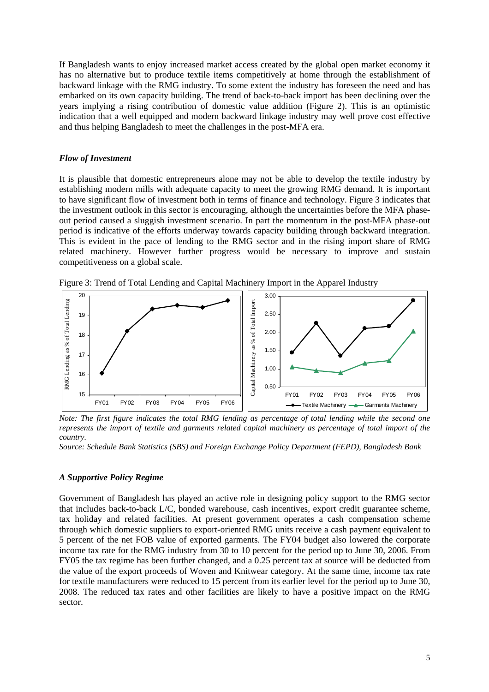If Bangladesh wants to enjoy increased market access created by the global open market economy it has no alternative but to produce textile items competitively at home through the establishment of backward linkage with the RMG industry. To some extent the industry has foreseen the need and has embarked on its own capacity building. The trend of back-to-back import has been declining over the years implying a rising contribution of domestic value addition (Figure 2). This is an optimistic indication that a well equipped and modern backward linkage industry may well prove cost effective and thus helping Bangladesh to meet the challenges in the post-MFA era.

#### *Flow of Investment*

It is plausible that domestic entrepreneurs alone may not be able to develop the textile industry by establishing modern mills with adequate capacity to meet the growing RMG demand. It is important to have significant flow of investment both in terms of finance and technology. Figure 3 indicates that the investment outlook in this sector is encouraging, although the uncertainties before the MFA phaseout period caused a sluggish investment scenario. In part the momentum in the post-MFA phase-out period is indicative of the efforts underway towards capacity building through backward integration. This is evident in the pace of lending to the RMG sector and in the rising import share of RMG related machinery. However further progress would be necessary to improve and sustain competitiveness on a global scale.

Figure 3: Trend of Total Lending and Capital Machinery Import in the Apparel Industry



*Note: The first figure indicates the total RMG lending as percentage of total lending while the second one represents the import of textile and garments related capital machinery as percentage of total import of the country.* 

*Source: Schedule Bank Statistics (SBS) and Foreign Exchange Policy Department (FEPD), Bangladesh Bank* 

#### *A Supportive Policy Regime*

Government of Bangladesh has played an active role in designing policy support to the RMG sector that includes back-to-back L/C, bonded warehouse, cash incentives, export credit guarantee scheme, tax holiday and related facilities. At present government operates a cash compensation scheme through which domestic suppliers to export-oriented RMG units receive a cash payment equivalent to 5 percent of the net FOB value of exported garments. The FY04 budget also lowered the corporate income tax rate for the RMG industry from 30 to 10 percent for the period up to June 30, 2006. From FY05 the tax regime has been further changed, and a 0.25 percent tax at source will be deducted from the value of the export proceeds of Woven and Knitwear category. At the same time, income tax rate for textile manufacturers were reduced to 15 percent from its earlier level for the period up to June 30, 2008. The reduced tax rates and other facilities are likely to have a positive impact on the RMG sector.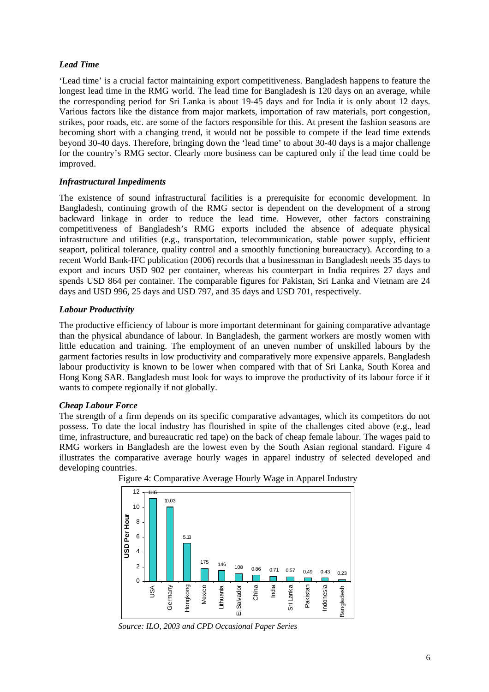#### *Lead Time*

'Lead time' is a crucial factor maintaining export competitiveness. Bangladesh happens to feature the longest lead time in the RMG world. The lead time for Bangladesh is 120 days on an average, while the corresponding period for Sri Lanka is about 19-45 days and for India it is only about 12 days. Various factors like the distance from major markets, importation of raw materials, port congestion, strikes, poor roads, etc. are some of the factors responsible for this. At present the fashion seasons are becoming short with a changing trend, it would not be possible to compete if the lead time extends beyond 30-40 days. Therefore, bringing down the 'lead time' to about 30-40 days is a major challenge for the country's RMG sector. Clearly more business can be captured only if the lead time could be improved.

#### *Infrastructural Impediments*

The existence of sound infrastructural facilities is a prerequisite for economic development. In Bangladesh, continuing growth of the RMG sector is dependent on the development of a strong backward linkage in order to reduce the lead time. However, other factors constraining competitiveness of Bangladesh's RMG exports included the absence of adequate physical infrastructure and utilities (e.g., transportation, telecommunication, stable power supply, efficient seaport, political tolerance, quality control and a smoothly functioning bureaucracy). According to a recent World Bank-IFC publication (2006) records that a businessman in Bangladesh needs 35 days to export and incurs USD 902 per container, whereas his counterpart in India requires 27 days and spends USD 864 per container. The comparable figures for Pakistan, Sri Lanka and Vietnam are 24 days and USD 996, 25 days and USD 797, and 35 days and USD 701, respectively.

#### *Labour Productivity*

The productive efficiency of labour is more important determinant for gaining comparative advantage than the physical abundance of labour. In Bangladesh, the garment workers are mostly women with little education and training. The employment of an uneven number of unskilled labours by the garment factories results in low productivity and comparatively more expensive apparels. Bangladesh labour productivity is known to be lower when compared with that of Sri Lanka, South Korea and Hong Kong SAR. Bangladesh must look for ways to improve the productivity of its labour force if it wants to compete regionally if not globally.

#### *Cheap Labour Force*

The strength of a firm depends on its specific comparative advantages, which its competitors do not possess. To date the local industry has flourished in spite of the challenges cited above (e.g., lead time, infrastructure, and bureaucratic red tape) on the back of cheap female labour. The wages paid to RMG workers in Bangladesh are the lowest even by the South Asian regional standard. Figure 4 illustrates the comparative average hourly wages in apparel industry of selected developed and developing countries.





*Source: ILO, 2003 and CPD Occasional Paper Series*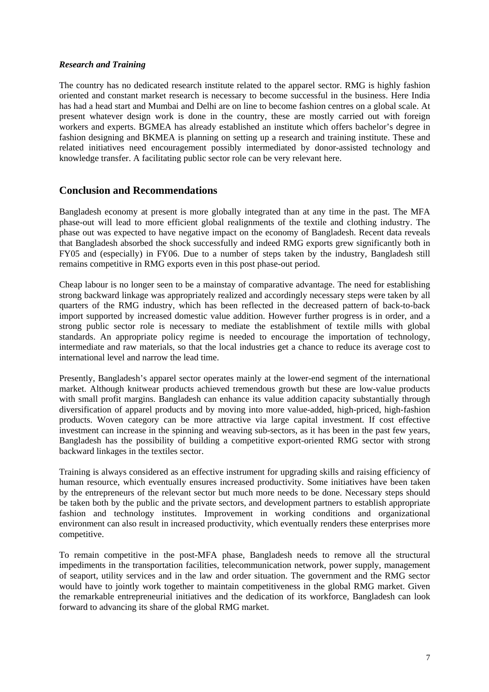#### *Research and Training*

The country has no dedicated research institute related to the apparel sector. RMG is highly fashion oriented and constant market research is necessary to become successful in the business. Here India has had a head start and Mumbai and Delhi are on line to become fashion centres on a global scale. At present whatever design work is done in the country, these are mostly carried out with foreign workers and experts. BGMEA has already established an institute which offers bachelor's degree in fashion designing and BKMEA is planning on setting up a research and training institute. These and related initiatives need encouragement possibly intermediated by donor-assisted technology and knowledge transfer. A facilitating public sector role can be very relevant here.

## **Conclusion and Recommendations**

Bangladesh economy at present is more globally integrated than at any time in the past. The MFA phase-out will lead to more efficient global realignments of the textile and clothing industry. The phase out was expected to have negative impact on the economy of Bangladesh. Recent data reveals that Bangladesh absorbed the shock successfully and indeed RMG exports grew significantly both in FY05 and (especially) in FY06. Due to a number of steps taken by the industry, Bangladesh still remains competitive in RMG exports even in this post phase-out period.

Cheap labour is no longer seen to be a mainstay of comparative advantage. The need for establishing strong backward linkage was appropriately realized and accordingly necessary steps were taken by all quarters of the RMG industry, which has been reflected in the decreased pattern of back-to-back import supported by increased domestic value addition. However further progress is in order, and a strong public sector role is necessary to mediate the establishment of textile mills with global standards. An appropriate policy regime is needed to encourage the importation of technology, intermediate and raw materials, so that the local industries get a chance to reduce its average cost to international level and narrow the lead time.

Presently, Bangladesh's apparel sector operates mainly at the lower-end segment of the international market. Although knitwear products achieved tremendous growth but these are low-value products with small profit margins. Bangladesh can enhance its value addition capacity substantially through diversification of apparel products and by moving into more value-added, high-priced, high-fashion products. Woven category can be more attractive via large capital investment. If cost effective investment can increase in the spinning and weaving sub-sectors, as it has been in the past few years, Bangladesh has the possibility of building a competitive export-oriented RMG sector with strong backward linkages in the textiles sector.

Training is always considered as an effective instrument for upgrading skills and raising efficiency of human resource, which eventually ensures increased productivity. Some initiatives have been taken by the entrepreneurs of the relevant sector but much more needs to be done. Necessary steps should be taken both by the public and the private sectors, and development partners to establish appropriate fashion and technology institutes. Improvement in working conditions and organizational environment can also result in increased productivity, which eventually renders these enterprises more competitive.

To remain competitive in the post-MFA phase, Bangladesh needs to remove all the structural impediments in the transportation facilities, telecommunication network, power supply, management of seaport, utility services and in the law and order situation. The government and the RMG sector would have to jointly work together to maintain competitiveness in the global RMG market. Given the remarkable entrepreneurial initiatives and the dedication of its workforce, Bangladesh can look forward to advancing its share of the global RMG market.